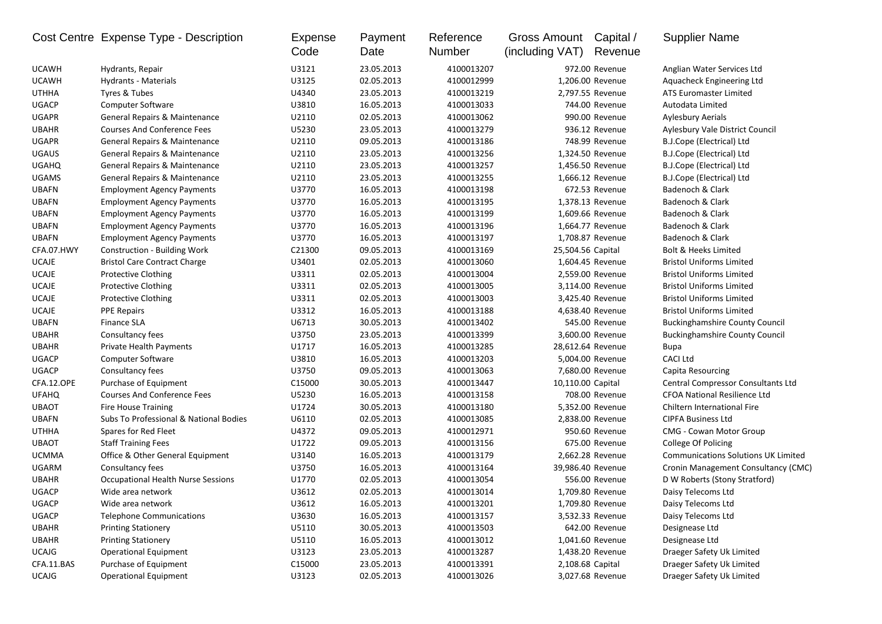|              | Cost Centre Expense Type - Description | <b>Expense</b><br>Code | Payment<br>Date | Reference<br>Number | Gross Amount Capital /<br>(including VAT) | Revenue           | <b>Supplier Name</b>                       |
|--------------|----------------------------------------|------------------------|-----------------|---------------------|-------------------------------------------|-------------------|--------------------------------------------|
| <b>UCAWH</b> | Hydrants, Repair                       | U3121                  | 23.05.2013      | 4100013207          |                                           | 972.00 Revenue    | Anglian Water Services Ltd                 |
| <b>UCAWH</b> | <b>Hydrants - Materials</b>            | U3125                  | 02.05.2013      | 4100012999          |                                           | 1,206.00 Revenue  | Aquacheck Engineering Ltd                  |
| <b>UTHHA</b> | Tyres & Tubes                          | U4340                  | 23.05.2013      | 4100013219          |                                           | 2,797.55 Revenue  | <b>ATS Euromaster Limited</b>              |
| <b>UGACP</b> | <b>Computer Software</b>               | U3810                  | 16.05.2013      | 4100013033          |                                           | 744.00 Revenue    | Autodata Limited                           |
| <b>UGAPR</b> | General Repairs & Maintenance          | U2110                  | 02.05.2013      | 4100013062          |                                           | 990.00 Revenue    | <b>Aylesbury Aerials</b>                   |
| <b>UBAHR</b> | <b>Courses And Conference Fees</b>     | U5230                  | 23.05.2013      | 4100013279          |                                           | 936.12 Revenue    | Aylesbury Vale District Council            |
| <b>UGAPR</b> | General Repairs & Maintenance          | U2110                  | 09.05.2013      | 4100013186          |                                           | 748.99 Revenue    | B.J.Cope (Electrical) Ltd                  |
| <b>UGAUS</b> | General Repairs & Maintenance          | U2110                  | 23.05.2013      | 4100013256          |                                           | 1,324.50 Revenue  | B.J.Cope (Electrical) Ltd                  |
| <b>UGAHQ</b> | General Repairs & Maintenance          | U2110                  | 23.05.2013      | 4100013257          |                                           | 1,456.50 Revenue  | B.J.Cope (Electrical) Ltd                  |
| <b>UGAMS</b> | General Repairs & Maintenance          | U2110                  | 23.05.2013      | 4100013255          |                                           | 1,666.12 Revenue  | B.J.Cope (Electrical) Ltd                  |
| <b>UBAFN</b> | <b>Employment Agency Payments</b>      | U3770                  | 16.05.2013      | 4100013198          |                                           | 672.53 Revenue    | Badenoch & Clark                           |
| <b>UBAFN</b> | <b>Employment Agency Payments</b>      | U3770                  | 16.05.2013      | 4100013195          |                                           | 1,378.13 Revenue  | Badenoch & Clark                           |
| <b>UBAFN</b> | <b>Employment Agency Payments</b>      | U3770                  | 16.05.2013      | 4100013199          |                                           | 1,609.66 Revenue  | Badenoch & Clark                           |
| <b>UBAFN</b> | <b>Employment Agency Payments</b>      | U3770                  | 16.05.2013      | 4100013196          |                                           | 1,664.77 Revenue  | Badenoch & Clark                           |
| <b>UBAFN</b> | <b>Employment Agency Payments</b>      | U3770                  | 16.05.2013      | 4100013197          |                                           | 1,708.87 Revenue  | Badenoch & Clark                           |
| CFA.07.HWY   | <b>Construction - Building Work</b>    | C21300                 | 09.05.2013      | 4100013169          | 25,504.56 Capital                         |                   | Bolt & Heeks Limited                       |
| <b>UCAJE</b> | <b>Bristol Care Contract Charge</b>    | U3401                  | 02.05.2013      | 4100013060          |                                           | 1,604.45 Revenue  | <b>Bristol Uniforms Limited</b>            |
| <b>UCAJE</b> | <b>Protective Clothing</b>             | U3311                  | 02.05.2013      | 4100013004          |                                           | 2,559.00 Revenue  | <b>Bristol Uniforms Limited</b>            |
| <b>UCAJE</b> | <b>Protective Clothing</b>             | U3311                  | 02.05.2013      | 4100013005          |                                           | 3,114.00 Revenue  | <b>Bristol Uniforms Limited</b>            |
| <b>UCAJE</b> | <b>Protective Clothing</b>             | U3311                  | 02.05.2013      | 4100013003          |                                           | 3,425.40 Revenue  | <b>Bristol Uniforms Limited</b>            |
| <b>UCAJE</b> | <b>PPE Repairs</b>                     | U3312                  | 16.05.2013      | 4100013188          |                                           | 4,638.40 Revenue  | <b>Bristol Uniforms Limited</b>            |
| <b>UBAFN</b> | <b>Finance SLA</b>                     | U6713                  | 30.05.2013      | 4100013402          |                                           | 545.00 Revenue    | <b>Buckinghamshire County Council</b>      |
| <b>UBAHR</b> | Consultancy fees                       | U3750                  | 23.05.2013      | 4100013399          |                                           | 3,600.00 Revenue  | <b>Buckinghamshire County Council</b>      |
| <b>UBAHR</b> | Private Health Payments                | U1717                  | 16.05.2013      | 4100013285          |                                           | 28,612.64 Revenue | <b>Bupa</b>                                |
| <b>UGACP</b> | <b>Computer Software</b>               | U3810                  | 16.05.2013      | 4100013203          |                                           | 5,004.00 Revenue  | <b>CACI Ltd</b>                            |
| <b>UGACP</b> | Consultancy fees                       | U3750                  | 09.05.2013      | 4100013063          |                                           | 7,680.00 Revenue  | Capita Resourcing                          |
| CFA.12.OPE   | Purchase of Equipment                  | C15000                 | 30.05.2013      | 4100013447          | 10,110.00 Capital                         |                   | Central Compressor Consultants Ltd         |
| <b>UFAHQ</b> | <b>Courses And Conference Fees</b>     | U5230                  | 16.05.2013      | 4100013158          |                                           | 708.00 Revenue    | <b>CFOA National Resilience Ltd</b>        |
| <b>UBAOT</b> | Fire House Training                    | U1724                  | 30.05.2013      | 4100013180          |                                           | 5,352.00 Revenue  | Chiltern International Fire                |
| <b>UBAFN</b> | Subs To Professional & National Bodies | U6110                  | 02.05.2013      | 4100013085          |                                           | 2,838.00 Revenue  | <b>CIPFA Business Ltd</b>                  |
| <b>UTHHA</b> | Spares for Red Fleet                   | U4372                  | 09.05.2013      | 4100012971          |                                           | 950.60 Revenue    | <b>CMG - Cowan Motor Group</b>             |
| <b>UBAOT</b> | <b>Staff Training Fees</b>             | U1722                  | 09.05.2013      | 4100013156          |                                           | 675.00 Revenue    | College Of Policing                        |
| <b>UCMMA</b> | Office & Other General Equipment       | U3140                  | 16.05.2013      | 4100013179          |                                           | 2,662.28 Revenue  | <b>Communications Solutions UK Limited</b> |
| UGARM        | Consultancy fees                       | U3750                  | 16.05.2013      | 4100013164          |                                           | 39,986.40 Revenue | Cronin Management Consultancy (CMC)        |
| <b>UBAHR</b> | Occupational Health Nurse Sessions     | U1770                  | 02.05.2013      | 4100013054          |                                           | 556.00 Revenue    | D W Roberts (Stony Stratford)              |
| <b>UGACP</b> | Wide area network                      | U3612                  | 02.05.2013      | 4100013014          |                                           | 1,709.80 Revenue  | Daisy Telecoms Ltd                         |
| UGACP        | Wide area network                      | U3612                  | 16.05.2013      | 4100013201          |                                           | 1,709.80 Revenue  | Daisy Telecoms Ltd                         |
| UGACP        | <b>Telephone Communications</b>        | U3630                  | 16.05.2013      | 4100013157          |                                           | 3,532.33 Revenue  | Daisy Telecoms Ltd                         |
| <b>UBAHR</b> | <b>Printing Stationery</b>             | U5110                  | 30.05.2013      | 4100013503          |                                           | 642.00 Revenue    | Designease Ltd                             |
| <b>UBAHR</b> | <b>Printing Stationery</b>             | U5110                  | 16.05.2013      | 4100013012          |                                           | 1,041.60 Revenue  | Designease Ltd                             |
| <b>UCAJG</b> | <b>Operational Equipment</b>           | U3123                  | 23.05.2013      | 4100013287          |                                           | 1,438.20 Revenue  | Draeger Safety Uk Limited                  |
| CFA.11.BAS   | Purchase of Equipment                  | C15000                 | 23.05.2013      | 4100013391          | 2,108.68 Capital                          |                   | Draeger Safety Uk Limited                  |
| <b>UCAJG</b> | <b>Operational Equipment</b>           | U3123                  | 02.05.2013      | 4100013026          |                                           | 3,027.68 Revenue  | Draeger Safety Uk Limited                  |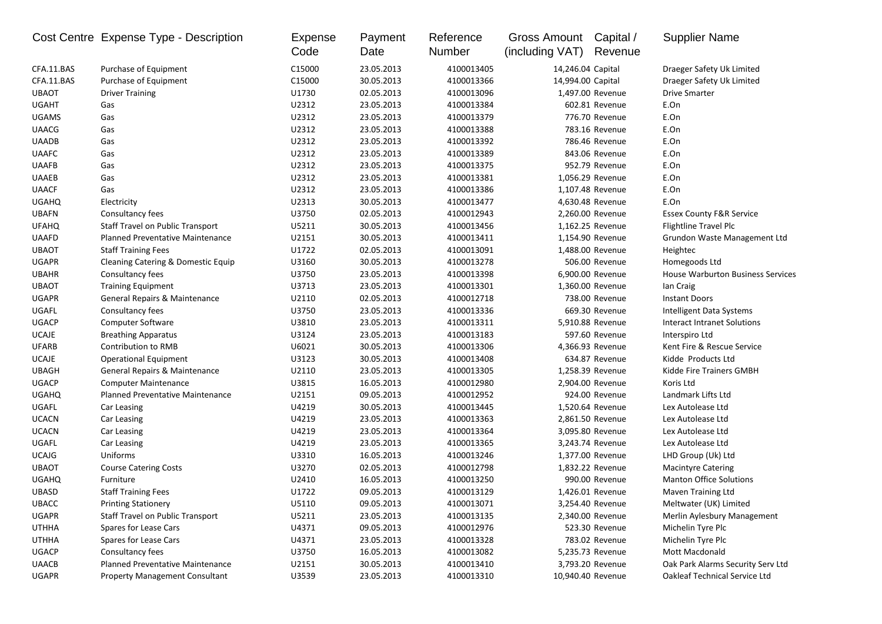|              | Cost Centre Expense Type - Description  | Expense<br>Code | Payment<br>Date | Reference<br>Number | Gross Amount<br>(including VAT) | Capital /<br>Revenue | <b>Supplier Name</b>                     |
|--------------|-----------------------------------------|-----------------|-----------------|---------------------|---------------------------------|----------------------|------------------------------------------|
| CFA.11.BAS   | Purchase of Equipment                   | C15000          | 23.05.2013      | 4100013405          | 14,246.04 Capital               |                      | Draeger Safety Uk Limited                |
| CFA.11.BAS   | Purchase of Equipment                   | C15000          | 30.05.2013      | 4100013366          | 14,994.00 Capital               |                      | Draeger Safety Uk Limited                |
| <b>UBAOT</b> | <b>Driver Training</b>                  | U1730           | 02.05.2013      | 4100013096          |                                 | 1,497.00 Revenue     | <b>Drive Smarter</b>                     |
| <b>UGAHT</b> | Gas                                     | U2312           | 23.05.2013      | 4100013384          |                                 | 602.81 Revenue       | E.On                                     |
| <b>UGAMS</b> | Gas                                     | U2312           | 23.05.2013      | 4100013379          |                                 | 776.70 Revenue       | E.On                                     |
| <b>UAACG</b> | Gas                                     | U2312           | 23.05.2013      | 4100013388          |                                 | 783.16 Revenue       | E.On                                     |
| <b>UAADB</b> | Gas                                     | U2312           | 23.05.2013      | 4100013392          |                                 | 786.46 Revenue       | E.On                                     |
| <b>UAAFC</b> | Gas                                     | U2312           | 23.05.2013      | 4100013389          |                                 | 843.06 Revenue       | E.On                                     |
| <b>UAAFB</b> | Gas                                     | U2312           | 23.05.2013      | 4100013375          |                                 | 952.79 Revenue       | E.On                                     |
| <b>UAAEB</b> | Gas                                     | U2312           | 23.05.2013      | 4100013381          |                                 | 1,056.29 Revenue     | E.On                                     |
| <b>UAACF</b> | Gas                                     | U2312           | 23.05.2013      | 4100013386          |                                 | 1,107.48 Revenue     | E.On                                     |
| <b>UGAHQ</b> | Electricity                             | U2313           | 30.05.2013      | 4100013477          |                                 | 4,630.48 Revenue     | E.On                                     |
| <b>UBAFN</b> | Consultancy fees                        | U3750           | 02.05.2013      | 4100012943          |                                 | 2,260.00 Revenue     | <b>Essex County F&amp;R Service</b>      |
| <b>UFAHQ</b> | <b>Staff Travel on Public Transport</b> | U5211           | 30.05.2013      | 4100013456          |                                 | 1,162.25 Revenue     | Flightline Travel Plc                    |
| <b>UAAFD</b> | <b>Planned Preventative Maintenance</b> | U2151           | 30.05.2013      | 4100013411          |                                 | 1,154.90 Revenue     | Grundon Waste Management Ltd             |
| <b>UBAOT</b> | <b>Staff Training Fees</b>              | U1722           | 02.05.2013      | 4100013091          |                                 | 1,488.00 Revenue     | Heightec                                 |
| <b>UGAPR</b> | Cleaning Catering & Domestic Equip      | U3160           | 30.05.2013      | 4100013278          |                                 | 506.00 Revenue       | Homegoods Ltd                            |
| <b>UBAHR</b> | Consultancy fees                        | U3750           | 23.05.2013      | 4100013398          |                                 | 6,900.00 Revenue     | <b>House Warburton Business Services</b> |
| <b>UBAOT</b> | <b>Training Equipment</b>               | U3713           | 23.05.2013      | 4100013301          |                                 | 1,360.00 Revenue     | lan Craig                                |
| <b>UGAPR</b> | General Repairs & Maintenance           | U2110           | 02.05.2013      | 4100012718          |                                 | 738.00 Revenue       | <b>Instant Doors</b>                     |
| UGAFL        | Consultancy fees                        | U3750           | 23.05.2013      | 4100013336          |                                 | 669.30 Revenue       | Intelligent Data Systems                 |
| <b>UGACP</b> | Computer Software                       | U3810           | 23.05.2013      | 4100013311          |                                 | 5,910.88 Revenue     | Interact Intranet Solutions              |
| <b>UCAJE</b> | <b>Breathing Apparatus</b>              | U3124           | 23.05.2013      | 4100013183          |                                 | 597.60 Revenue       | Interspiro Ltd                           |
| <b>UFARB</b> | Contribution to RMB                     | U6021           | 30.05.2013      | 4100013306          |                                 | 4,366.93 Revenue     | Kent Fire & Rescue Service               |
| <b>UCAJE</b> | Operational Equipment                   | U3123           | 30.05.2013      | 4100013408          |                                 | 634.87 Revenue       | Kidde Products Ltd                       |
| <b>UBAGH</b> | General Repairs & Maintenance           | U2110           | 23.05.2013      | 4100013305          |                                 | 1,258.39 Revenue     | Kidde Fire Trainers GMBH                 |
| <b>UGACP</b> | <b>Computer Maintenance</b>             | U3815           | 16.05.2013      | 4100012980          |                                 | 2,904.00 Revenue     | Koris Ltd                                |
| <b>UGAHQ</b> | <b>Planned Preventative Maintenance</b> | U2151           | 09.05.2013      | 4100012952          |                                 | 924.00 Revenue       | Landmark Lifts Ltd                       |
| UGAFL        | Car Leasing                             | U4219           | 30.05.2013      | 4100013445          |                                 | 1,520.64 Revenue     | Lex Autolease Ltd                        |
| <b>UCACN</b> | Car Leasing                             | U4219           | 23.05.2013      | 4100013363          |                                 | 2,861.50 Revenue     | Lex Autolease Ltd                        |
| <b>UCACN</b> | Car Leasing                             | U4219           | 23.05.2013      | 4100013364          |                                 | 3,095.80 Revenue     | Lex Autolease Ltd                        |
| UGAFL        | Car Leasing                             | U4219           | 23.05.2013      | 4100013365          |                                 | 3,243.74 Revenue     | Lex Autolease Ltd                        |
| <b>UCAJG</b> | Uniforms                                | U3310           | 16.05.2013      | 4100013246          |                                 | 1,377.00 Revenue     | LHD Group (Uk) Ltd                       |
| <b>UBAOT</b> | <b>Course Catering Costs</b>            | U3270           | 02.05.2013      | 4100012798          |                                 | 1,832.22 Revenue     | <b>Macintyre Catering</b>                |
| <b>UGAHQ</b> | Furniture                               | U2410           | 16.05.2013      | 4100013250          |                                 | 990.00 Revenue       | <b>Manton Office Solutions</b>           |
| <b>UBASD</b> | <b>Staff Training Fees</b>              | U1722           | 09.05.2013      | 4100013129          |                                 | 1,426.01 Revenue     | Maven Training Ltd                       |
| UBACC        | <b>Printing Stationery</b>              | U5110           | 09.05.2013      | 4100013071          |                                 | 3,254.40 Revenue     | Meltwater (UK) Limited                   |
| UGAPR        | <b>Staff Travel on Public Transport</b> | U5211           | 23.05.2013      | 4100013135          |                                 | 2,340.00 Revenue     | Merlin Aylesbury Management              |
| <b>UTHHA</b> | Spares for Lease Cars                   | U4371           | 09.05.2013      | 4100012976          |                                 | 523.30 Revenue       | Michelin Tyre Plc                        |
| <b>UTHHA</b> | Spares for Lease Cars                   | U4371           | 23.05.2013      | 4100013328          |                                 | 783.02 Revenue       | Michelin Tyre Plc                        |
| <b>UGACP</b> | Consultancy fees                        | U3750           | 16.05.2013      | 4100013082          |                                 | 5,235.73 Revenue     | Mott Macdonald                           |
| <b>UAACB</b> | <b>Planned Preventative Maintenance</b> | U2151           | 30.05.2013      | 4100013410          |                                 | 3,793.20 Revenue     | Oak Park Alarms Security Serv Ltd        |
| UGAPR        | <b>Property Management Consultant</b>   | U3539           | 23.05.2013      | 4100013310          |                                 | 10,940.40 Revenue    | Oakleaf Technical Service Ltd            |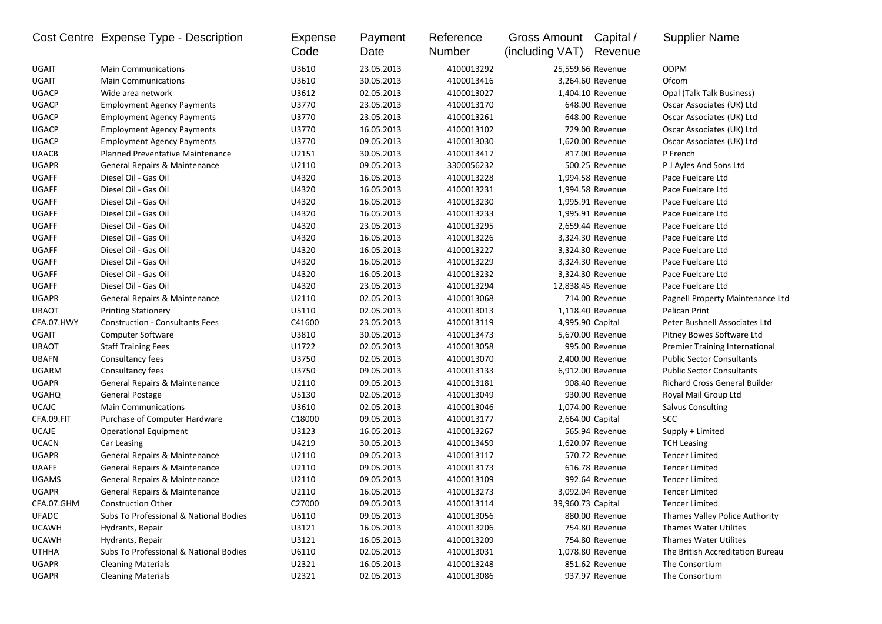|              | Cost Centre Expense Type - Description  | Expense<br>Code | Payment<br>Date | Reference<br>Number | Gross Amount Capital /<br>(including VAT) | Revenue           | <b>Supplier Name</b>                 |
|--------------|-----------------------------------------|-----------------|-----------------|---------------------|-------------------------------------------|-------------------|--------------------------------------|
| UGAIT        | <b>Main Communications</b>              | U3610           | 23.05.2013      | 4100013292          |                                           | 25,559.66 Revenue | <b>ODPM</b>                          |
| UGAIT        | <b>Main Communications</b>              | U3610           | 30.05.2013      | 4100013416          |                                           | 3,264.60 Revenue  | Ofcom                                |
| <b>UGACP</b> | Wide area network                       | U3612           | 02.05.2013      | 4100013027          |                                           | 1,404.10 Revenue  | Opal (Talk Talk Business)            |
| <b>UGACP</b> | <b>Employment Agency Payments</b>       | U3770           | 23.05.2013      | 4100013170          |                                           | 648.00 Revenue    | Oscar Associates (UK) Ltd            |
| <b>UGACP</b> | <b>Employment Agency Payments</b>       | U3770           | 23.05.2013      | 4100013261          |                                           | 648.00 Revenue    | Oscar Associates (UK) Ltd            |
| <b>UGACP</b> | <b>Employment Agency Payments</b>       | U3770           | 16.05.2013      | 4100013102          |                                           | 729.00 Revenue    | Oscar Associates (UK) Ltd            |
| <b>UGACP</b> | <b>Employment Agency Payments</b>       | U3770           | 09.05.2013      | 4100013030          |                                           | 1,620.00 Revenue  | Oscar Associates (UK) Ltd            |
| <b>UAACB</b> | <b>Planned Preventative Maintenance</b> | U2151           | 30.05.2013      | 4100013417          |                                           | 817.00 Revenue    | P French                             |
| <b>UGAPR</b> | General Repairs & Maintenance           | U2110           | 09.05.2013      | 3300056232          |                                           | 500.25 Revenue    | P J Ayles And Sons Ltd               |
| <b>UGAFF</b> | Diesel Oil - Gas Oil                    | U4320           | 16.05.2013      | 4100013228          |                                           | 1,994.58 Revenue  | Pace Fuelcare Ltd                    |
| <b>UGAFF</b> | Diesel Oil - Gas Oil                    | U4320           | 16.05.2013      | 4100013231          |                                           | 1,994.58 Revenue  | Pace Fuelcare Ltd                    |
| <b>UGAFF</b> | Diesel Oil - Gas Oil                    | U4320           | 16.05.2013      | 4100013230          |                                           | 1,995.91 Revenue  | Pace Fuelcare Ltd                    |
| <b>UGAFF</b> | Diesel Oil - Gas Oil                    | U4320           | 16.05.2013      | 4100013233          |                                           | 1,995.91 Revenue  | Pace Fuelcare Ltd                    |
| <b>UGAFF</b> | Diesel Oil - Gas Oil                    | U4320           | 23.05.2013      | 4100013295          |                                           | 2,659.44 Revenue  | Pace Fuelcare Ltd                    |
| <b>UGAFF</b> | Diesel Oil - Gas Oil                    | U4320           | 16.05.2013      | 4100013226          |                                           | 3,324.30 Revenue  | Pace Fuelcare Ltd                    |
| <b>UGAFF</b> | Diesel Oil - Gas Oil                    | U4320           | 16.05.2013      | 4100013227          |                                           | 3,324.30 Revenue  | Pace Fuelcare Ltd                    |
| <b>UGAFF</b> | Diesel Oil - Gas Oil                    | U4320           | 16.05.2013      | 4100013229          |                                           | 3,324.30 Revenue  | Pace Fuelcare Ltd                    |
| <b>UGAFF</b> | Diesel Oil - Gas Oil                    | U4320           | 16.05.2013      | 4100013232          |                                           | 3,324.30 Revenue  | Pace Fuelcare Ltd                    |
| <b>UGAFF</b> | Diesel Oil - Gas Oil                    | U4320           | 23.05.2013      | 4100013294          |                                           | 12,838.45 Revenue | Pace Fuelcare Ltd                    |
| <b>UGAPR</b> | General Repairs & Maintenance           | U2110           | 02.05.2013      | 4100013068          |                                           | 714.00 Revenue    | Pagnell Property Maintenance Ltd     |
| <b>UBAOT</b> | <b>Printing Stationery</b>              | U5110           | 02.05.2013      | 4100013013          |                                           | 1,118.40 Revenue  | Pelican Print                        |
| CFA.07.HWY   | <b>Construction - Consultants Fees</b>  | C41600          | 23.05.2013      | 4100013119          |                                           | 4,995.90 Capital  | Peter Bushnell Associates Ltd        |
| UGAIT        | Computer Software                       | U3810           | 30.05.2013      | 4100013473          |                                           | 5,670.00 Revenue  | Pitney Bowes Software Ltd            |
| <b>UBAOT</b> | <b>Staff Training Fees</b>              | U1722           | 02.05.2013      | 4100013058          |                                           | 995.00 Revenue    | Premier Training International       |
| <b>UBAFN</b> | Consultancy fees                        | U3750           | 02.05.2013      | 4100013070          |                                           | 2,400.00 Revenue  | <b>Public Sector Consultants</b>     |
| UGARM        | Consultancy fees                        | U3750           | 09.05.2013      | 4100013133          |                                           | 6,912.00 Revenue  | <b>Public Sector Consultants</b>     |
| <b>UGAPR</b> | General Repairs & Maintenance           | U2110           | 09.05.2013      | 4100013181          |                                           | 908.40 Revenue    | <b>Richard Cross General Builder</b> |
| <b>UGAHQ</b> | <b>General Postage</b>                  | U5130           | 02.05.2013      | 4100013049          |                                           | 930.00 Revenue    | Royal Mail Group Ltd                 |
| <b>UCAJC</b> | <b>Main Communications</b>              | U3610           | 02.05.2013      | 4100013046          |                                           | 1,074.00 Revenue  | <b>Salvus Consulting</b>             |
| CFA.09.FIT   | Purchase of Computer Hardware           | C18000          | 09.05.2013      | 4100013177          |                                           | 2,664.00 Capital  | SCC                                  |
| <b>UCAJE</b> | <b>Operational Equipment</b>            | U3123           | 16.05.2013      | 4100013267          |                                           | 565.94 Revenue    | Supply + Limited                     |
| <b>UCACN</b> | Car Leasing                             | U4219           | 30.05.2013      | 4100013459          |                                           | 1,620.07 Revenue  | <b>TCH Leasing</b>                   |
| <b>UGAPR</b> | General Repairs & Maintenance           | U2110           | 09.05.2013      | 4100013117          |                                           | 570.72 Revenue    | <b>Tencer Limited</b>                |
| <b>UAAFE</b> | General Repairs & Maintenance           | U2110           | 09.05.2013      | 4100013173          |                                           | 616.78 Revenue    | <b>Tencer Limited</b>                |
| <b>UGAMS</b> | General Repairs & Maintenance           | U2110           | 09.05.2013      | 4100013109          |                                           | 992.64 Revenue    | <b>Tencer Limited</b>                |
| <b>UGAPR</b> | General Repairs & Maintenance           | U2110           | 16.05.2013      | 4100013273          |                                           | 3,092.04 Revenue  | <b>Tencer Limited</b>                |
| CFA.07.GHM   | <b>Construction Other</b>               | C27000          | 09.05.2013      | 4100013114          | 39,960.73 Capital                         |                   | <b>Tencer Limited</b>                |
| UFADC        | Subs To Professional & National Bodies  | U6110           | 09.05.2013      | 4100013056          |                                           | 880.00 Revenue    | Thames Valley Police Authority       |
| <b>UCAWH</b> | Hydrants, Repair                        | U3121           | 16.05.2013      | 4100013206          |                                           | 754.80 Revenue    | Thames Water Utilites                |
| <b>UCAWH</b> | Hydrants, Repair                        | U3121           | 16.05.2013      | 4100013209          |                                           | 754.80 Revenue    | <b>Thames Water Utilites</b>         |
| <b>UTHHA</b> | Subs To Professional & National Bodies  | U6110           | 02.05.2013      | 4100013031          |                                           | 1,078.80 Revenue  | The British Accreditation Bureau     |
| <b>UGAPR</b> | <b>Cleaning Materials</b>               | U2321           | 16.05.2013      | 4100013248          |                                           | 851.62 Revenue    | The Consortium                       |
| UGAPR        | <b>Cleaning Materials</b>               | U2321           | 02.05.2013      | 4100013086          |                                           | 937.97 Revenue    | The Consortium                       |